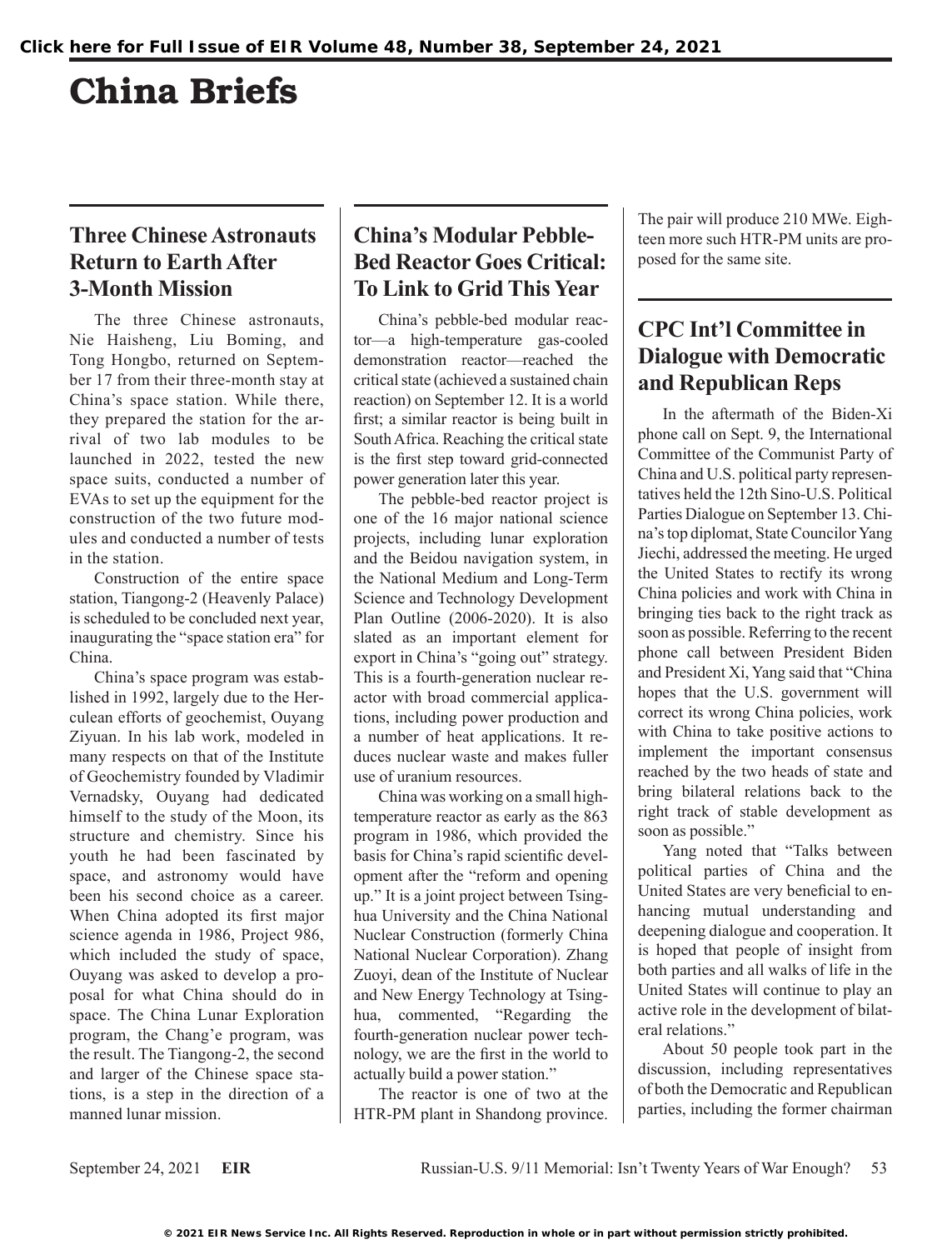# China Briefs

## **Three Chinese Astronauts Return to Earth After 3-Month Mission**

The three Chinese astronauts, Nie Haisheng, Liu Boming, and Tong Hongbo, returned on September 17 from their three-month stay at China's space station. While there, they prepared the station for the arrival of two lab modules to be launched in 2022, tested the new space suits, conducted a number of EVAs to set up the equipment for the construction of the two future modules and conducted a number of tests in the station.

Construction of the entire space station, Tiangong-2 (Heavenly Palace) is scheduled to be concluded next year, inaugurating the "space station era" for China.

China's space program was established in 1992, largely due to the Herculean efforts of geochemist, Ouyang Ziyuan. In his lab work, modeled in many respects on that of the Institute of Geochemistry founded by Vladimir Vernadsky, Ouyang had dedicated himself to the study of the Moon, its structure and chemistry. Since his youth he had been fascinated by space, and astronomy would have been his second choice as a career. When China adopted its first major science agenda in 1986, Project 986, which included the study of space, Ouyang was asked to develop a proposal for what China should do in space. The China Lunar Exploration program, the Chang'e program, was the result. The Tiangong-2, the second and larger of the Chinese space stations, is a step in the direction of a manned lunar mission.

## **China's Modular Pebble-Bed Reactor Goes Critical: To Link to Grid This Year**

China's pebble-bed modular reactor—a high-temperature gas-cooled demonstration reactor—reached the critical state (achieved a sustained chain reaction) on September 12. It is a world first; a similar reactor is being built in South Africa. Reaching the critical state is the first step toward grid-connected power generation later this year.

The pebble-bed reactor project is one of the 16 major national science projects, including lunar exploration and the Beidou navigation system, in the National Medium and Long-Term Science and Technology Development Plan Outline (2006-2020). It is also slated as an important element for export in China's "going out" strategy. This is a fourth-generation nuclear reactor with broad commercial applications, including power production and a number of heat applications. It reduces nuclear waste and makes fuller use of uranium resources.

China was working on a small hightemperature reactor as early as the 863 program in 1986, which provided the basis for China's rapid scientific development after the "reform and opening up." It is a joint project between Tsinghua University and the China National Nuclear Construction (formerly China National Nuclear Corporation). Zhang Zuoyi, dean of the Institute of Nuclear and New Energy Technology at Tsinghua, commented, "Regarding the fourth-generation nuclear power technology, we are the first in the world to actually build a power station."

The reactor is one of two at the HTR-PM plant in Shandong province. The pair will produce 210 MWe. Eighteen more such HTR-PM units are proposed for the same site.

## **CPC Int'l Committee in Dialogue with Democratic and Republican Reps**

In the aftermath of the Biden-Xi phone call on Sept. 9, the International Committee of the Communist Party of China and U.S. political party representatives held the 12th Sino-U.S. Political Parties Dialogue on September 13. China's top diplomat, State Councilor Yang Jiechi, addressed the meeting. He urged the United States to rectify its wrong China policies and work with China in bringing ties back to the right track as soon as possible. Referring to the recent phone call between President Biden and President Xi, Yang said that "China hopes that the U.S. government will correct its wrong China policies, work with China to take positive actions to implement the important consensus reached by the two heads of state and bring bilateral relations back to the right track of stable development as soon as possible."

Yang noted that "Talks between political parties of China and the United States are very beneficial to enhancing mutual understanding and deepening dialogue and cooperation. It is hoped that people of insight from both parties and all walks of life in the United States will continue to play an active role in the development of bilateral relations."

About 50 people took part in the discussion, including representatives of both the Democratic and Republican parties, including the former chairman

September 24, 2021 **EIR** Russian-U.S. 9/11 Memorial: Isn't Twenty Years of War Enough? 53